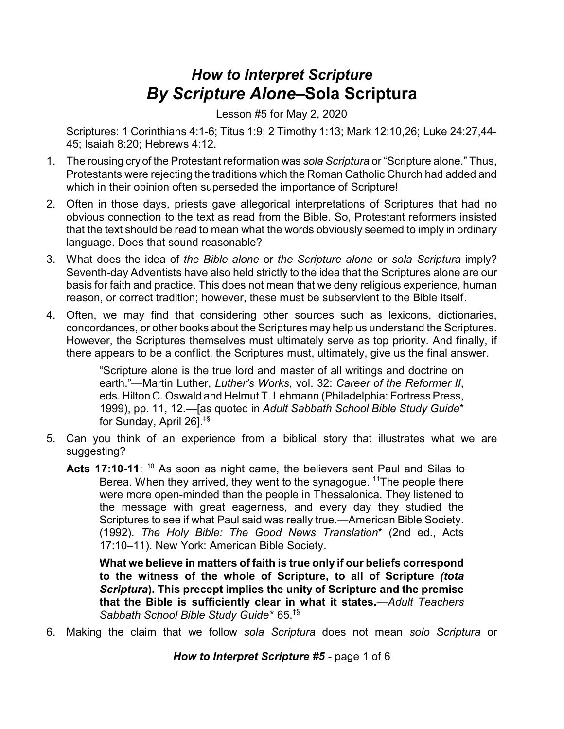## *How to Interpret Scripture By Scripture Alone–***Sola Scriptura**

Lesson #5 for May 2, 2020

Scriptures: 1 Corinthians 4:1-6; Titus 1:9; 2 Timothy 1:13; Mark 12:10,26; Luke 24:27,44- 45; Isaiah 8:20; Hebrews 4:12.

- 1. The rousing cry of the Protestant reformation was *sola Scriptura* or "Scripture alone." Thus, Protestants were rejecting the traditions which the Roman Catholic Church had added and which in their opinion often superseded the importance of Scripture!
- 2. Often in those days, priests gave allegorical interpretations of Scriptures that had no obvious connection to the text as read from the Bible. So, Protestant reformers insisted that the text should be read to mean what the words obviously seemed to imply in ordinary language. Does that sound reasonable?
- 3. What does the idea of *the Bible alone* or *the Scripture alone* or *sola Scriptura* imply? Seventh-day Adventists have also held strictly to the idea that the Scriptures alone are our basis for faith and practice. This does not mean that we deny religious experience, human reason, or correct tradition; however, these must be subservient to the Bible itself.
- 4. Often, we may find that considering other sources such as lexicons, dictionaries, concordances, or other books about the Scriptures may help us understand the Scriptures. However, the Scriptures themselves must ultimately serve as top priority. And finally, if there appears to be a conflict, the Scriptures must, ultimately, give us the final answer.

"Scripture alone is the true lord and master of all writings and doctrine on earth."—Martin Luther, *Luther's Works*, vol. 32: *Career of the Reformer II*, eds. Hilton C. Oswald and Helmut T. Lehmann (Philadelphia: Fortress Press, 1999), pp. 11, 12.—[as quoted in *Adult Sabbath School Bible Study Guide*\* for Sunday, April 26].‡§

- 5. Can you think of an experience from a biblical story that illustrates what we are suggesting?
	- Acts 17:10-11: <sup>10</sup> As soon as night came, the believers sent Paul and Silas to Berea. When they arrived, they went to the synagogue. <sup>11</sup>The people there were more open-minded than the people in Thessalonica. They listened to the message with great eagerness, and every day they studied the Scriptures to see if what Paul said was really true.—American Bible Society. (1992). *The Holy Bible: The Good News Translation*\* (2nd ed., Acts 17:10–11). New York: American Bible Society.

**What we believe in matters of faith is true only if our beliefs correspond to the witness of the whole of Scripture, to all of Scripture** *(tota Scriptura***). This precept implies the unity of Scripture and the premise that the Bible is sufficiently clear in what it states.**—*Adult Teachers Sabbath School Bible Study Guide*\* 65.†§

6. Making the claim that we follow *sola Scriptura* does not mean *solo Scriptura* or

*How to Interpret Scripture #5* - page 1 of 6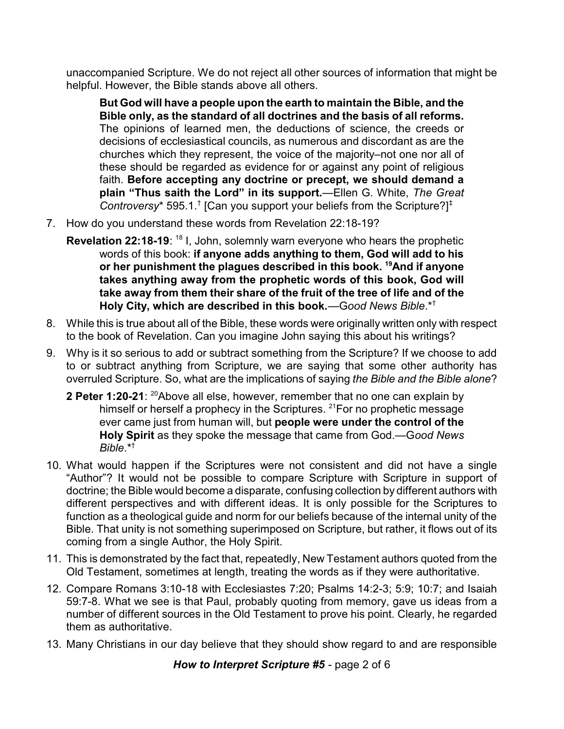unaccompanied Scripture. We do not reject all other sources of information that might be helpful. However, the Bible stands above all others.

**But God will have a people upon the earth to maintain the Bible, and the Bible only, as the standard of all doctrines and the basis of all reforms.** The opinions of learned men, the deductions of science, the creeds or decisions of ecclesiastical councils, as numerous and discordant as are the churches which they represent, the voice of the majority–not one nor all of these should be regarded as evidence for or against any point of religious faith. **Before accepting any doctrine or precept, we should demand a plain "Thus saith the Lord" in its support.**—Ellen G. White, *The Great* Controversy\* 595.1.<sup>†</sup> [Can you support your beliefs from the Scripture?]<sup>‡</sup>

- 7. How do you understand these words from Revelation 22:18-19?
	- **Revelation 22:18-19**: <sup>18</sup> I, John, solemnly warn everyone who hears the prophetic words of this book: **if anyone adds anything to them, God will add to his or her punishment the plagues described in this book. <sup>19</sup>And if anyone takes anything away from the prophetic words of this book, God will take away from them their share of the fruit of the tree of life and of the Holy City, which are described in this book.**—G*ood News Bible*.\*†
- 8. While this is true about all of the Bible, these words were originally written only with respect to the book of Revelation. Can you imagine John saying this about his writings?
- 9. Why is it so serious to add or subtract something from the Scripture? If we choose to add to or subtract anything from Scripture, we are saying that some other authority has overruled Scripture. So, what are the implications of saying *the Bible and the Bible alone*?
	- **2 Peter 1:20-21:** <sup>20</sup>Above all else, however, remember that no one can explain by himself or herself a prophecy in the Scriptures. <sup>21</sup>For no prophetic message ever came just from human will, but **people were under the control of the Holy Spirit** as they spoke the message that came from God.—G*ood News Bible*.\*†
- 10. What would happen if the Scriptures were not consistent and did not have a single "Author"? It would not be possible to compare Scripture with Scripture in support of doctrine; the Bible would become a disparate, confusing collection by different authors with different perspectives and with different ideas. It is only possible for the Scriptures to function as a theological guide and norm for our beliefs because of the internal unity of the Bible. That unity is not something superimposed on Scripture, but rather, it flows out of its coming from a single Author, the Holy Spirit.
- 11. This is demonstrated by the fact that, repeatedly, New Testament authors quoted from the Old Testament, sometimes at length, treating the words as if they were authoritative.
- 12. Compare Romans 3:10-18 with Ecclesiastes 7:20; Psalms 14:2-3; 5:9; 10:7; and Isaiah 59:7-8. What we see is that Paul, probably quoting from memory, gave us ideas from a number of different sources in the Old Testament to prove his point. Clearly, he regarded them as authoritative.
- 13. Many Christians in our day believe that they should show regard to and are responsible

*How to Interpret Scripture #5* - page 2 of 6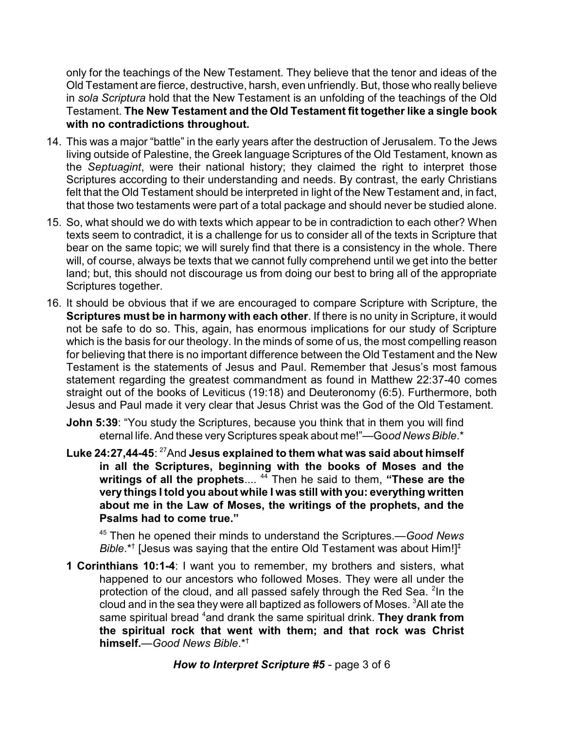only for the teachings of the New Testament. They believe that the tenor and ideas of the Old Testament are fierce, destructive, harsh, even unfriendly. But, those who really believe in *sola Scriptura* hold that the New Testament is an unfolding of the teachings of the Old Testament. **The New Testament and the Old Testament fit together like a single book with no contradictions throughout.**

- 14. This was a major "battle" in the early years after the destruction of Jerusalem. To the Jews living outside of Palestine, the Greek language Scriptures of the Old Testament, known as the *Septuagint*, were their national history; they claimed the right to interpret those Scriptures according to their understanding and needs. By contrast, the early Christians felt that the Old Testament should be interpreted in light of the New Testament and, in fact, that those two testaments were part of a total package and should never be studied alone.
- 15. So, what should we do with texts which appear to be in contradiction to each other? When texts seem to contradict, it is a challenge for us to consider all of the texts in Scripture that bear on the same topic; we will surely find that there is a consistency in the whole. There will, of course, always be texts that we cannot fully comprehend until we get into the better land; but, this should not discourage us from doing our best to bring all of the appropriate Scriptures together.
- 16. It should be obvious that if we are encouraged to compare Scripture with Scripture, the **Scriptures must be in harmony with each other**. If there is no unity in Scripture, it would not be safe to do so. This, again, has enormous implications for our study of Scripture which is the basis for our theology. In the minds of some of us, the most compelling reason for believing that there is no important difference between the Old Testament and the New Testament is the statements of Jesus and Paul. Remember that Jesus's most famous statement regarding the greatest commandment as found in Matthew 22:37-40 comes straight out of the books of Leviticus (19:18) and Deuteronomy (6:5). Furthermore, both Jesus and Paul made it very clear that Jesus Christ was the God of the Old Testament.
	- **John 5:39**: "You study the Scriptures, because you think that in them you will find eternal life. And these very Scriptures speak about me!"—Good News Bible.\*
	- **Luke 24:27,44-45**: <sup>27</sup>And **Jesus explained to them what was said about himself in all the Scriptures, beginning with the books of Moses and the writings of all the prophets**.... <sup>44</sup> Then he said to them, **"These are the very things I told you about while I was still with you: everything written about me in the Law of Moses, the writings of the prophets, and the Psalms had to come true."**

45 Then he opened their minds to understand the Scriptures.—*Good News Bible*.\*† [Jesus was saying that the entire Old Testament was about Him!]‡

**1 Corinthians 10:1-4**: I want you to remember, my brothers and sisters, what happened to our ancestors who followed Moses. They were all under the protection of the cloud, and all passed safely through the Red Sea. <sup>2</sup>In the cloud and in the sea they were all baptized as followers of Moses.  $3$ All ate the same spiritual bread <sup>4</sup>and drank the same spiritual drink. **They drank from the spiritual rock that went with them; and that rock was Christ himself***.—Good News Bible*.\*†

*How to Interpret Scripture #5* - page 3 of 6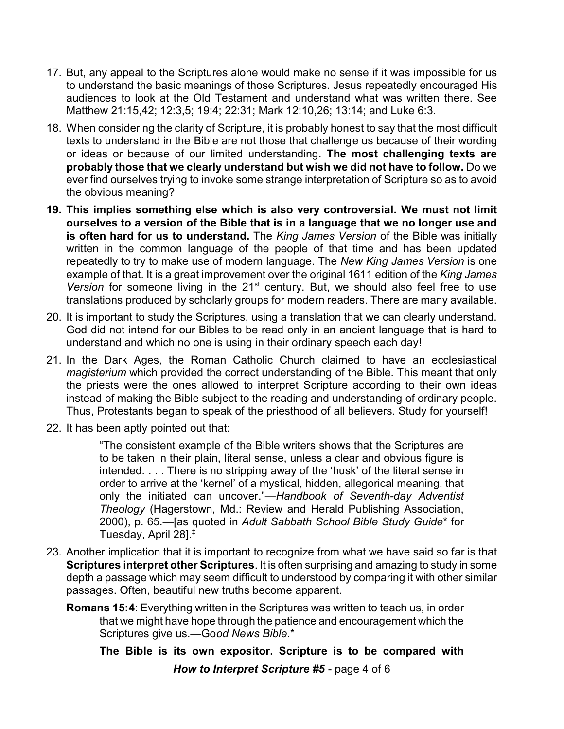- 17. But, any appeal to the Scriptures alone would make no sense if it was impossible for us to understand the basic meanings of those Scriptures. Jesus repeatedly encouraged His audiences to look at the Old Testament and understand what was written there. See Matthew 21:15,42; 12:3,5; 19:4; 22:31; Mark 12:10,26; 13:14; and Luke 6:3.
- 18. When considering the clarity of Scripture, it is probably honest to say that the most difficult texts to understand in the Bible are not those that challenge us because of their wording or ideas or because of our limited understanding. **The most challenging texts are probably those that we clearly understand but wish we did not have to follow.** Do we ever find ourselves trying to invoke some strange interpretation of Scripture so as to avoid the obvious meaning?
- **19. This implies something else which is also very controversial. We must not limit ourselves to a version of the Bible that is in a language that we no longer use and is often hard for us to understand.** The *King James Version* of the Bible was initially written in the common language of the people of that time and has been updated repeatedly to try to make use of modern language. The *New King James Version* is one example of that. It is a great improvement over the original 1611 edition of the *King James* Version for someone living in the 21<sup>st</sup> century. But, we should also feel free to use translations produced by scholarly groups for modern readers. There are many available.
- 20. It is important to study the Scriptures, using a translation that we can clearly understand. God did not intend for our Bibles to be read only in an ancient language that is hard to understand and which no one is using in their ordinary speech each day!
- 21. In the Dark Ages, the Roman Catholic Church claimed to have an ecclesiastical *magisterium* which provided the correct understanding of the Bible. This meant that only the priests were the ones allowed to interpret Scripture according to their own ideas instead of making the Bible subject to the reading and understanding of ordinary people. Thus, Protestants began to speak of the priesthood of all believers. Study for yourself!
- 22. It has been aptly pointed out that:

"The consistent example of the Bible writers shows that the Scriptures are to be taken in their plain, literal sense, unless a clear and obvious figure is intended. . . . There is no stripping away of the 'husk' of the literal sense in order to arrive at the 'kernel' of a mystical, hidden, allegorical meaning, that only the initiated can uncover."—*Handbook of Seventh-day Adventist Theology* (Hagerstown, Md.: Review and Herald Publishing Association, 2000), p. 65.—[as quoted in *Adult Sabbath School Bible Study Guide*\* for Tuesday, April 28].‡

- 23. Another implication that it is important to recognize from what we have said so far is that **Scriptures interpret other Scriptures**. It is often surprising and amazing to study in some depth a passage which may seem difficult to understood by comparing it with other similar passages. Often, beautiful new truths become apparent.
	- **Romans 15:4**: Everything written in the Scriptures was written to teach us, in order that we might have hope through the patience and encouragement which the Scriptures give us.—Go*od News Bible*.\*

**The Bible is its own expositor. Scripture is to be compared with** *How to Interpret Scripture #5* - page 4 of 6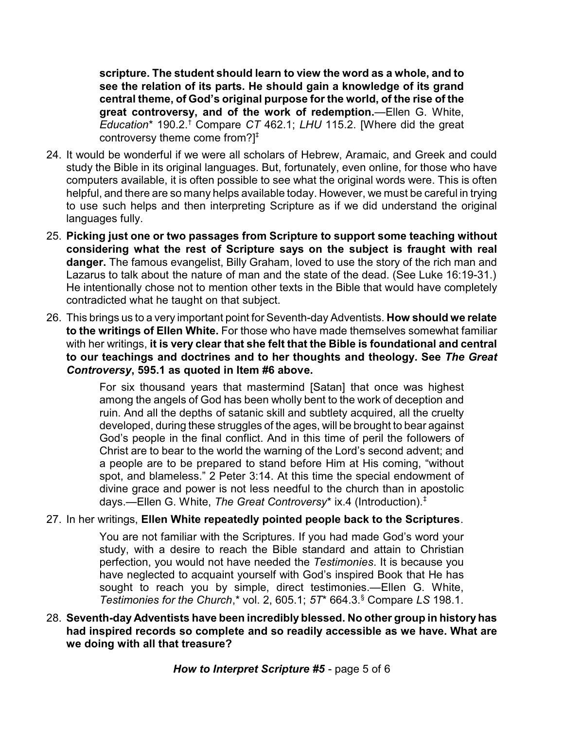**scripture. The student should learn to view the word as a whole, and to see the relation of its parts. He should gain a knowledge of its grand central theme, of God's original purpose for the world, of the rise of the great controversy, and of the work of redemption.**—Ellen G. White, *Education*\* 190.2.† Compare *CT* 462.1; *LHU* 115.2. [Where did the great controversy theme come from?]‡

- 24. It would be wonderful if we were all scholars of Hebrew, Aramaic, and Greek and could study the Bible in its original languages. But, fortunately, even online, for those who have computers available, it is often possible to see what the original words were. This is often helpful, and there are so many helps available today. However, we must be careful in trying to use such helps and then interpreting Scripture as if we did understand the original languages fully.
- 25. **Picking just one or two passages from Scripture to support some teaching without considering what the rest of Scripture says on the subject is fraught with real danger.** The famous evangelist, Billy Graham, loved to use the story of the rich man and Lazarus to talk about the nature of man and the state of the dead. (See Luke 16:19-31.) He intentionally chose not to mention other texts in the Bible that would have completely contradicted what he taught on that subject.
- 26. This brings us to a very important point for Seventh-day Adventists. **How should we relate to the writings of Ellen White.** For those who have made themselves somewhat familiar with her writings, **it is very clear that she felt that the Bible is foundational and central to our teachings and doctrines and to her thoughts and theology. See** *The Great Controversy***, 595.1 as quoted in Item #6 above.**

For six thousand years that mastermind [Satan] that once was highest among the angels of God has been wholly bent to the work of deception and ruin. And all the depths of satanic skill and subtlety acquired, all the cruelty developed, during these struggles of the ages, will be brought to bear against God's people in the final conflict. And in this time of peril the followers of Christ are to bear to the world the warning of the Lord's second advent; and a people are to be prepared to stand before Him at His coming, "without spot, and blameless." 2 Peter 3:14. At this time the special endowment of divine grace and power is not less needful to the church than in apostolic days.—Ellen G. White, *The Great Controversy*\* ix.4 (Introduction).‡

## 27. In her writings, **Ellen White repeatedly pointed people back to the Scriptures**.

You are not familiar with the Scriptures. If you had made God's word your study, with a desire to reach the Bible standard and attain to Christian perfection, you would not have needed the *Testimonies*. It is because you have neglected to acquaint yourself with God's inspired Book that He has sought to reach you by simple, direct testimonies.—Ellen G. White, *Testimonies for the Church*,\* vol. 2, 605.1; *5T*\* 664.3.§ Compare *LS* 198.1.

## 28. **Seventh-day Adventists have been incredibly blessed. No other group in history has had inspired records so complete and so readily accessible as we have. What are we doing with all that treasure?**